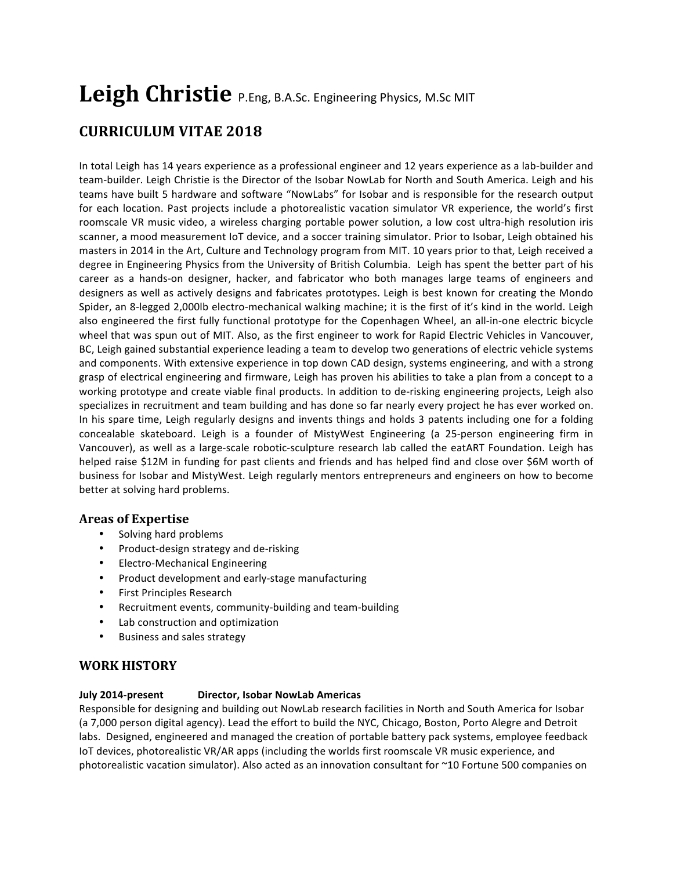# Leigh Christie P.Eng, B.A.Sc. Engineering Physics, M.Sc MIT

# **CURRICULUM VITAE 2018**

In total Leigh has 14 years experience as a professional engineer and 12 years experience as a lab-builder and team-builder. Leigh Christie is the Director of the Isobar NowLab for North and South America. Leigh and his teams have built 5 hardware and software "NowLabs" for Isobar and is responsible for the research output for each location. Past projects include a photorealistic vacation simulator VR experience, the world's first roomscale VR music video, a wireless charging portable power solution, a low cost ultra-high resolution iris scanner, a mood measurement IoT device, and a soccer training simulator. Prior to Isobar, Leigh obtained his masters in 2014 in the Art, Culture and Technology program from MIT. 10 years prior to that, Leigh received a degree in Engineering Physics from the University of British Columbia. Leigh has spent the better part of his career as a hands-on designer, hacker, and fabricator who both manages large teams of engineers and designers as well as actively designs and fabricates prototypes. Leigh is best known for creating the Mondo Spider, an 8-legged 2,000lb electro-mechanical walking machine; it is the first of it's kind in the world. Leigh also engineered the first fully functional prototype for the Copenhagen Wheel, an all-in-one electric bicycle wheel that was spun out of MIT. Also, as the first engineer to work for Rapid Electric Vehicles in Vancouver, BC, Leigh gained substantial experience leading a team to develop two generations of electric vehicle systems and components. With extensive experience in top down CAD design, systems engineering, and with a strong grasp of electrical engineering and firmware, Leigh has proven his abilities to take a plan from a concept to a working prototype and create viable final products. In addition to de-risking engineering projects, Leigh also specializes in recruitment and team building and has done so far nearly every project he has ever worked on. In his spare time, Leigh regularly designs and invents things and holds 3 patents including one for a folding concealable skateboard. Leigh is a founder of MistyWest Engineering (a 25-person engineering firm in Vancouver), as well as a large-scale robotic-sculpture research lab called the eatART Foundation. Leigh has helped raise \$12M in funding for past clients and friends and has helped find and close over \$6M worth of business for Isobar and MistyWest. Leigh regularly mentors entrepreneurs and engineers on how to become better at solving hard problems.

# **Areas of Expertise**

- Solving hard problems
- Product-design strategy and de-risking
- Electro-Mechanical Engineering
- Product development and early-stage manufacturing
- First Principles Research
- Recruitment events, community-building and team-building
- Lab construction and optimization
- Business and sales strategy

# **WORK HISTORY**

#### **July 2014-present Director, Isobar NowLab Americas**

Responsible for designing and building out NowLab research facilities in North and South America for Isobar (a 7,000 person digital agency). Lead the effort to build the NYC, Chicago, Boston, Porto Alegre and Detroit labs. Designed, engineered and managed the creation of portable battery pack systems, employee feedback IoT devices, photorealistic VR/AR apps (including the worlds first roomscale VR music experience, and photorealistic vacation simulator). Also acted as an innovation consultant for ~10 Fortune 500 companies on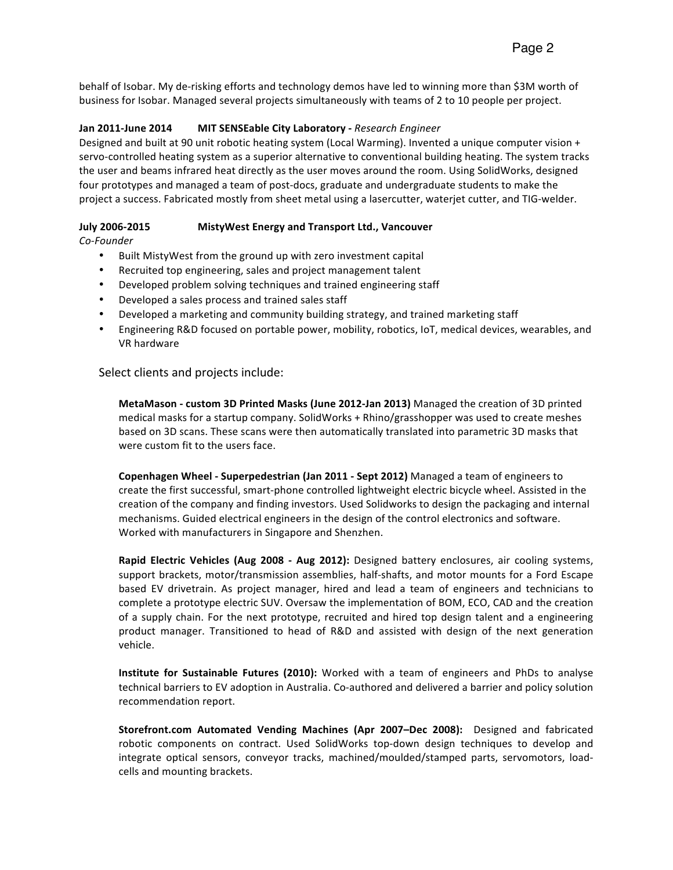#### **Jan 2011-June 2014 MIT SENSEable City Laboratory** - Research Engineer

Designed and built at 90 unit robotic heating system (Local Warming). Invented a unique computer vision + servo-controlled heating system as a superior alternative to conventional building heating. The system tracks the user and beams infrared heat directly as the user moves around the room. Using SolidWorks, designed four prototypes and managed a team of post-docs, graduate and undergraduate students to make the project a success. Fabricated mostly from sheet metal using a lasercutter, waterjet cutter, and TIG-welder.

### **July 2006-2015 MistyWest Energy and Transport Ltd., Vancouver**

*Co-Founder*

- Built MistyWest from the ground up with zero investment capital
- Recruited top engineering, sales and project management talent
- Developed problem solving techniques and trained engineering staff
- Developed a sales process and trained sales staff
- Developed a marketing and community building strategy, and trained marketing staff
- Engineering R&D focused on portable power, mobility, robotics, IoT, medical devices, wearables, and VR hardware

Select clients and projects include:

**MetaMason - custom 3D Printed Masks (June 2012-Jan 2013)** Managed the creation of 3D printed medical masks for a startup company. SolidWorks + Rhino/grasshopper was used to create meshes based on 3D scans. These scans were then automatically translated into parametric 3D masks that were custom fit to the users face.

**Copenhagen Wheel - Superpedestrian (Jan 2011 - Sept 2012) Managed a team of engineers to** create the first successful, smart-phone controlled lightweight electric bicycle wheel. Assisted in the creation of the company and finding investors. Used Solidworks to design the packaging and internal mechanisms. Guided electrical engineers in the design of the control electronics and software. Worked with manufacturers in Singapore and Shenzhen.

**Rapid Electric Vehicles (Aug 2008 - Aug 2012):** Designed battery enclosures, air cooling systems, support brackets, motor/transmission assemblies, half-shafts, and motor mounts for a Ford Escape based EV drivetrain. As project manager, hired and lead a team of engineers and technicians to complete a prototype electric SUV. Oversaw the implementation of BOM, ECO, CAD and the creation of a supply chain. For the next prototype, recruited and hired top design talent and a engineering product manager. Transitioned to head of R&D and assisted with design of the next generation vehicle.

**Institute for Sustainable Futures (2010):** Worked with a team of engineers and PhDs to analyse technical barriers to EV adoption in Australia. Co-authored and delivered a barrier and policy solution recommendation report.

**Storefront.com Automated Vending Machines (Apr 2007–Dec 2008):** Designed and fabricated robotic components on contract. Used SolidWorks top-down design techniques to develop and integrate optical sensors, conveyor tracks, machined/moulded/stamped parts, servomotors, loadcells and mounting brackets.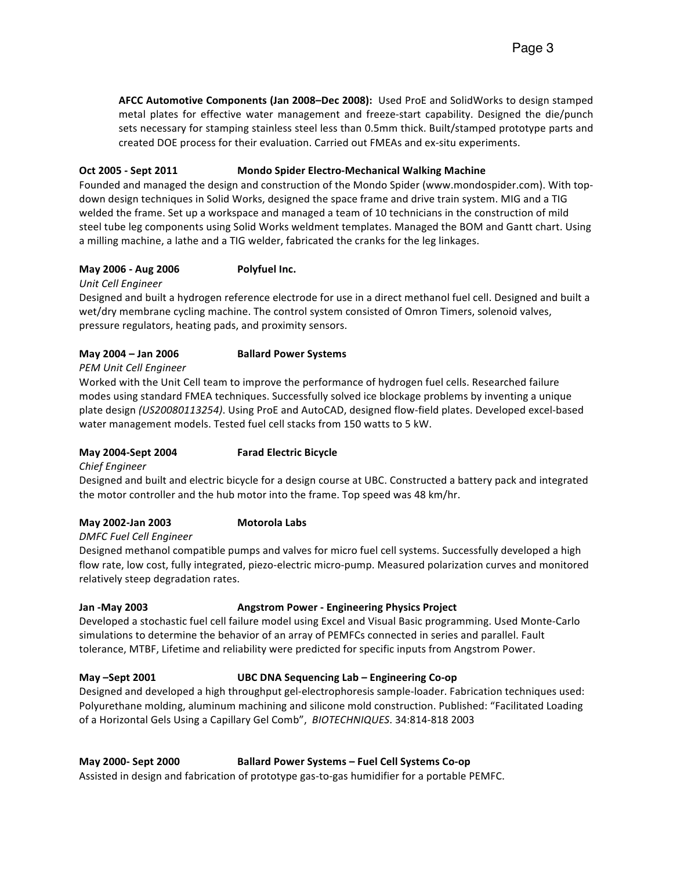AFCC Automotive Components (Jan 2008–Dec 2008): Used ProE and SolidWorks to design stamped metal plates for effective water management and freeze-start capability. Designed the die/punch sets necessary for stamping stainless steel less than 0.5mm thick. Built/stamped prototype parts and created DOE process for their evaluation. Carried out FMEAs and ex-situ experiments.

#### **Oct 2005 - Sept 2011 Mondo Spider Electro-Mechanical Walking Machine**

Founded and managed the design and construction of the Mondo Spider (www.mondospider.com). With topdown design techniques in Solid Works, designed the space frame and drive train system. MIG and a TIG welded the frame. Set up a workspace and managed a team of 10 technicians in the construction of mild steel tube leg components using Solid Works weldment templates. Managed the BOM and Gantt chart. Using a milling machine, a lathe and a TIG welder, fabricated the cranks for the leg linkages.

#### **May 2006 - Aug 2006 Polyfuel Inc.**

#### *Unit Cell Engineer*

Designed and built a hydrogen reference electrode for use in a direct methanol fuel cell. Designed and built a wet/dry membrane cycling machine. The control system consisted of Omron Timers, solenoid valves, pressure regulators, heating pads, and proximity sensors.

#### **May 2004 – Jan 2006 Ballard Power Systems**

#### *PEM Unit Cell Engineer*

Worked with the Unit Cell team to improve the performance of hydrogen fuel cells. Researched failure modes using standard FMEA techniques. Successfully solved ice blockage problems by inventing a unique plate design (US20080113254). Using ProE and AutoCAD, designed flow-field plates. Developed excel-based water management models. Tested fuel cell stacks from 150 watts to 5 kW.

### **May 2004-Sept 2004 Farad Electric Bicycle**

*Chief Engineer*

Designed and built and electric bicycle for a design course at UBC. Constructed a battery pack and integrated the motor controller and the hub motor into the frame. Top speed was 48 km/hr.

#### May 2002-Jan 2003 **Motorola Labs**

#### *DMFC Fuel Cell Engineer*

Designed methanol compatible pumps and valves for micro fuel cell systems. Successfully developed a high flow rate, low cost, fully integrated, piezo-electric micro-pump. Measured polarization curves and monitored relatively steep degradation rates.

#### **Jan -May 2003 Angstrom Power - Engineering Physics Project**

Developed a stochastic fuel cell failure model using Excel and Visual Basic programming. Used Monte-Carlo simulations to determine the behavior of an array of PEMFCs connected in series and parallel. Fault tolerance, MTBF, Lifetime and reliability were predicted for specific inputs from Angstrom Power.

#### **May** –Sept 2001 **UBC DNA Sequencing Lab** – Engineering Co-op

Designed and developed a high throughput gel-electrophoresis sample-loader. Fabrication techniques used: Polyurethane molding, aluminum machining and silicone mold construction. Published: "Facilitated Loading of a Horizontal Gels Using a Capillary Gel Comb", BIOTECHNIQUES. 34:814-818 2003

#### **May 2000-** Sept 2000 **Ballard Power Systems – Fuel Cell Systems Co-op**

Assisted in design and fabrication of prototype gas-to-gas humidifier for a portable PEMFC.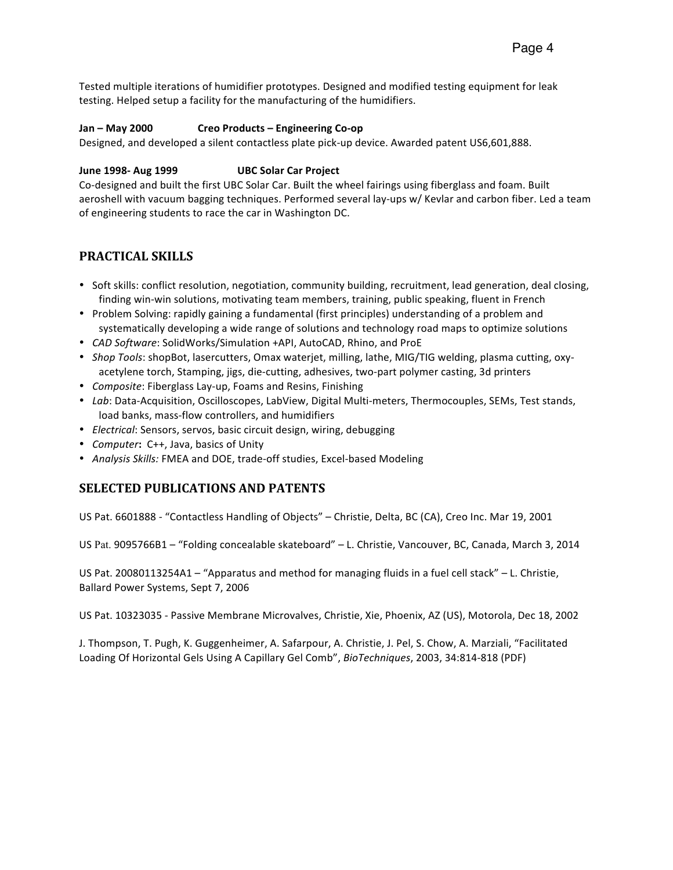Tested multiple iterations of humidifier prototypes. Designed and modified testing equipment for leak testing. Helped setup a facility for the manufacturing of the humidifiers.

#### **Jan – May 2000 Creo Products – Engineering Co-op**

Designed, and developed a silent contactless plate pick-up device. Awarded patent US6,601,888.

#### **June 1998- Aug 1999 UBC Solar Car Project**

Co-designed and built the first UBC Solar Car. Built the wheel fairings using fiberglass and foam. Built aeroshell with vacuum bagging techniques. Performed several lay-ups w/ Kevlar and carbon fiber. Led a team of engineering students to race the car in Washington DC.

# **PRACTICAL SKILLS**

- Soft skills: conflict resolution, negotiation, community building, recruitment, lead generation, deal closing, finding win-win solutions, motivating team members, training, public speaking, fluent in French
- Problem Solving: rapidly gaining a fundamental (first principles) understanding of a problem and systematically developing a wide range of solutions and technology road maps to optimize solutions
- CAD Software: SolidWorks/Simulation +API, AutoCAD, Rhino, and ProE
- *Shop Tools*: shopBot, lasercutters, Omax waterjet, milling, lathe, MIG/TIG welding, plasma cutting, oxyacetylene torch, Stamping, jigs, die-cutting, adhesives, two-part polymer casting, 3d printers
- *Composite*: Fiberglass Lay-up, Foams and Resins, Finishing
- *Lab*: Data-Acquisition, Oscilloscopes, LabView, Digital Multi-meters, Thermocouples, SEMs, Test stands, load banks, mass-flow controllers, and humidifiers
- *Electrical:* Sensors, servos, basic circuit design, wiring, debugging
- *Computer*: C++, Java, basics of Unity
- Analysis Skills: FMEA and DOE, trade-off studies, Excel-based Modeling

### **SELECTED PUBLICATIONS AND PATENTS**

US Pat. 6601888 - "Contactless Handling of Objects" - Christie, Delta, BC (CA), Creo Inc. Mar 19, 2001

US Pat. 9095766B1 – "Folding concealable skateboard" – L. Christie, Vancouver, BC, Canada, March 3, 2014

US Pat. 20080113254A1 – "Apparatus and method for managing fluids in a fuel cell stack" – L. Christie, Ballard Power Systems, Sept 7, 2006

US Pat. 10323035 - Passive Membrane Microvalves, Christie, Xie, Phoenix, AZ (US), Motorola, Dec 18, 2002

J. Thompson, T. Pugh, K. Guggenheimer, A. Safarpour, A. Christie, J. Pel, S. Chow, A. Marziali, "Facilitated Loading Of Horizontal Gels Using A Capillary Gel Comb", *BioTechniques*, 2003, 34:814-818 (PDF)